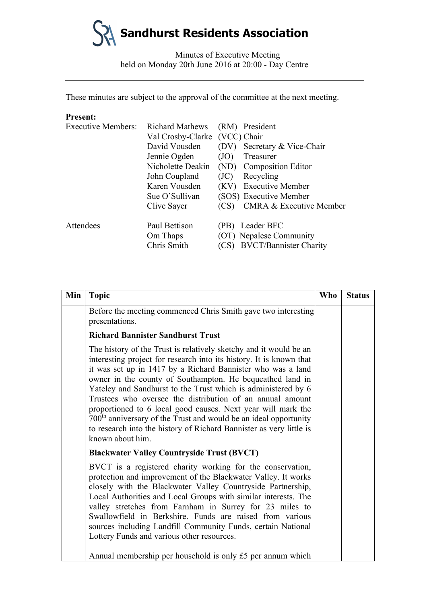Minutes of Executive Meeting held on Monday 20th June 2016 at 20:00 - Day Centre

These minutes are subject to the approval of the committee at the next meeting.

#### **Present:**

| <b>Executive Members:</b> | <b>Richard Mathews</b>        |      | (RM) President                     |
|---------------------------|-------------------------------|------|------------------------------------|
|                           | Val Crosby-Clarke (VCC) Chair |      |                                    |
|                           | David Vousden                 |      | (DV) Secretary & Vice-Chair        |
|                           | Jennie Ogden                  | (JO) | Treasurer                          |
|                           | Nicholette Deakin             |      | (ND) Composition Editor            |
|                           | John Coupland                 | (JC) | Recycling                          |
|                           | Karen Vousden                 |      | (KV) Executive Member              |
|                           | Sue O'Sullivan                |      | (SOS) Executive Member             |
|                           | Clive Sayer                   | (CS) | <b>CMRA &amp; Executive Member</b> |
| Attendees                 | Paul Bettison                 |      | (PB) Leader BFC                    |
|                           | Om Thaps                      |      | (OT) Nepalese Community            |
|                           | Chris Smith                   |      | (CS) BVCT/Bannister Charity        |

| Min | <b>Topic</b>                                                                                                                                                                                                                                                                                                                                                                                                                                                                                                                                                                                                                                  | <b>Who</b> | <b>Status</b> |
|-----|-----------------------------------------------------------------------------------------------------------------------------------------------------------------------------------------------------------------------------------------------------------------------------------------------------------------------------------------------------------------------------------------------------------------------------------------------------------------------------------------------------------------------------------------------------------------------------------------------------------------------------------------------|------------|---------------|
|     | Before the meeting commenced Chris Smith gave two interesting<br>presentations.                                                                                                                                                                                                                                                                                                                                                                                                                                                                                                                                                               |            |               |
|     | <b>Richard Bannister Sandhurst Trust</b>                                                                                                                                                                                                                                                                                                                                                                                                                                                                                                                                                                                                      |            |               |
|     | The history of the Trust is relatively sketchy and it would be an<br>interesting project for research into its history. It is known that<br>it was set up in 1417 by a Richard Bannister who was a land<br>owner in the county of Southampton. He bequeathed land in<br>Yateley and Sandhurst to the Trust which is administered by 6<br>Trustees who oversee the distribution of an annual amount<br>proportioned to 6 local good causes. Next year will mark the<br>700 <sup>th</sup> anniversary of the Trust and would be an ideal opportunity<br>to research into the history of Richard Bannister as very little is<br>known about him. |            |               |
|     | <b>Blackwater Valley Countryside Trust (BVCT)</b>                                                                                                                                                                                                                                                                                                                                                                                                                                                                                                                                                                                             |            |               |
|     | BVCT is a registered charity working for the conservation,<br>protection and improvement of the Blackwater Valley. It works<br>closely with the Blackwater Valley Countryside Partnership,<br>Local Authorities and Local Groups with similar interests. The<br>valley stretches from Farnham in Surrey for 23 miles to<br>Swallowfield in Berkshire. Funds are raised from various<br>sources including Landfill Community Funds, certain National<br>Lottery Funds and various other resources.                                                                                                                                             |            |               |
|     | Annual membership per household is only £5 per annum which                                                                                                                                                                                                                                                                                                                                                                                                                                                                                                                                                                                    |            |               |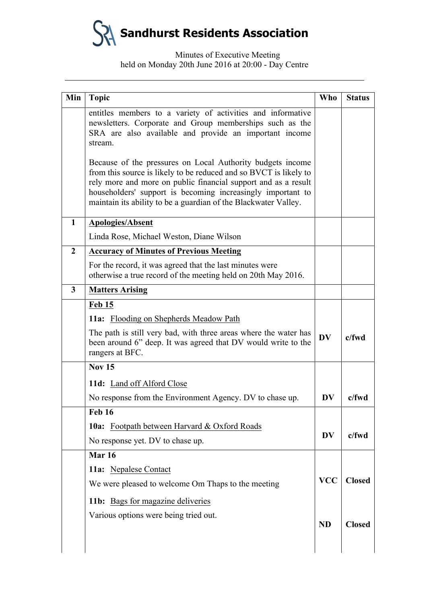# Minutes of Executive Meeting held on Monday 20th June 2016 at 20:00 - Day Centre

| Min            | <b>Topic</b>                                                                                                                                                                                                                                                                                                                        | <b>Who</b> | <b>Status</b> |
|----------------|-------------------------------------------------------------------------------------------------------------------------------------------------------------------------------------------------------------------------------------------------------------------------------------------------------------------------------------|------------|---------------|
|                | entitles members to a variety of activities and informative<br>newsletters. Corporate and Group memberships such as the<br>SRA are also available and provide an important income<br>stream.                                                                                                                                        |            |               |
|                | Because of the pressures on Local Authority budgets income<br>from this source is likely to be reduced and so BVCT is likely to<br>rely more and more on public financial support and as a result<br>householders' support is becoming increasingly important to<br>maintain its ability to be a guardian of the Blackwater Valley. |            |               |
| $\mathbf{1}$   | <b>Apologies/Absent</b>                                                                                                                                                                                                                                                                                                             |            |               |
|                | Linda Rose, Michael Weston, Diane Wilson                                                                                                                                                                                                                                                                                            |            |               |
| $\overline{2}$ | <b>Accuracy of Minutes of Previous Meeting</b>                                                                                                                                                                                                                                                                                      |            |               |
|                | For the record, it was agreed that the last minutes were<br>otherwise a true record of the meeting held on 20th May 2016.                                                                                                                                                                                                           |            |               |
| $\mathbf{3}$   | <b>Matters Arising</b>                                                                                                                                                                                                                                                                                                              |            |               |
|                | Feb 15                                                                                                                                                                                                                                                                                                                              |            |               |
|                | <b>11a:</b> Flooding on Shepherds Meadow Path                                                                                                                                                                                                                                                                                       |            |               |
|                | The path is still very bad, with three areas where the water has<br>been around 6" deep. It was agreed that DV would write to the<br>rangers at BFC.                                                                                                                                                                                | <b>DV</b>  | $c$ /fwd      |
|                | <b>Nov 15</b>                                                                                                                                                                                                                                                                                                                       |            |               |
|                | 11d: Land off Alford Close                                                                                                                                                                                                                                                                                                          |            |               |
|                | No response from the Environment Agency. DV to chase up.                                                                                                                                                                                                                                                                            | DV         | $c$ /fwd      |
|                | <b>Feb 16</b>                                                                                                                                                                                                                                                                                                                       |            |               |
|                | 10a: Footpath between Harvard & Oxford Roads                                                                                                                                                                                                                                                                                        |            |               |
|                | No response yet. DV to chase up.                                                                                                                                                                                                                                                                                                    | <b>DV</b>  | $c$ /fwd      |
|                | <b>Mar 16</b>                                                                                                                                                                                                                                                                                                                       |            |               |
|                | 11a: Nepalese Contact                                                                                                                                                                                                                                                                                                               |            |               |
|                | We were pleased to welcome Om Thaps to the meeting                                                                                                                                                                                                                                                                                  | <b>VCC</b> | <b>Closed</b> |
|                | 11b: Bags for magazine deliveries                                                                                                                                                                                                                                                                                                   |            |               |
|                | Various options were being tried out.                                                                                                                                                                                                                                                                                               | <b>ND</b>  | <b>Closed</b> |
|                |                                                                                                                                                                                                                                                                                                                                     |            |               |
|                |                                                                                                                                                                                                                                                                                                                                     |            |               |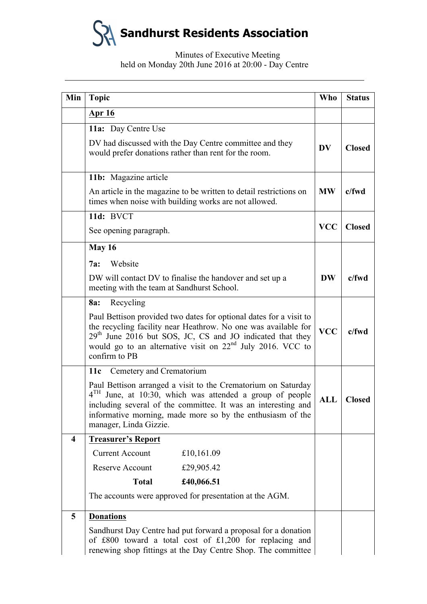# Minutes of Executive Meeting held on Monday 20th June 2016 at 20:00 - Day Centre

| Min | <b>Topic</b>                                                                                                                                                                                                                                                                                   |  | <b>Who</b>                        | <b>Status</b> |
|-----|------------------------------------------------------------------------------------------------------------------------------------------------------------------------------------------------------------------------------------------------------------------------------------------------|--|-----------------------------------|---------------|
|     | <u>Apr 16</u>                                                                                                                                                                                                                                                                                  |  |                                   |               |
|     | 11a: Day Centre Use                                                                                                                                                                                                                                                                            |  |                                   |               |
|     | DV had discussed with the Day Centre committee and they<br>would prefer donations rather than rent for the room.                                                                                                                                                                               |  | $\overline{\mathbf{D}}\mathbf{V}$ | <b>Closed</b> |
|     | 11b: Magazine article                                                                                                                                                                                                                                                                          |  |                                   |               |
|     | An article in the magazine to be written to detail restrictions on<br>times when noise with building works are not allowed.                                                                                                                                                                    |  | <b>MW</b>                         | $c$ /fwd      |
|     | 11d: BVCT                                                                                                                                                                                                                                                                                      |  |                                   |               |
|     | See opening paragraph.                                                                                                                                                                                                                                                                         |  | <b>VCC</b>                        | <b>Closed</b> |
|     | <b>May 16</b>                                                                                                                                                                                                                                                                                  |  |                                   |               |
|     | Website<br>7a:                                                                                                                                                                                                                                                                                 |  |                                   |               |
|     | DW will contact DV to finalise the handover and set up a<br>meeting with the team at Sandhurst School.                                                                                                                                                                                         |  | <b>DW</b>                         | $c$ /fwd      |
|     | Recycling<br><b>8a:</b>                                                                                                                                                                                                                                                                        |  |                                   |               |
|     | Paul Bettison provided two dates for optional dates for a visit to<br>the recycling facility near Heathrow. No one was available for<br>$29th$ June 2016 but SOS, JC, CS and JO indicated that they<br>would go to an alternative visit on 22 <sup>nd</sup> July 2016. VCC to<br>confirm to PB |  | <b>VCC</b>                        | c/fwd         |
|     | 11c<br>Cemetery and Crematorium                                                                                                                                                                                                                                                                |  |                                   |               |
|     | Paul Bettison arranged a visit to the Crematorium on Saturday<br>$4TH$ June, at 10:30, which was attended a group of people<br>including several of the committee. It was an interesting and<br>informative morning, made more so by the enthusiasm of the<br>manager, Linda Gizzie.           |  | <b>ALL</b>                        | <b>Closed</b> |
| 4   | <b>Treasurer's Report</b>                                                                                                                                                                                                                                                                      |  |                                   |               |
|     | <b>Current Account</b><br>£10,161.09                                                                                                                                                                                                                                                           |  |                                   |               |
|     | Reserve Account<br>£29,905.42                                                                                                                                                                                                                                                                  |  |                                   |               |
|     | £40,066.51<br><b>Total</b>                                                                                                                                                                                                                                                                     |  |                                   |               |
|     | The accounts were approved for presentation at the AGM.                                                                                                                                                                                                                                        |  |                                   |               |
| 5   | <b>Donations</b>                                                                                                                                                                                                                                                                               |  |                                   |               |
|     | Sandhurst Day Centre had put forward a proposal for a donation<br>of $£800$ toward a total cost of £1,200 for replacing and<br>renewing shop fittings at the Day Centre Shop. The committee                                                                                                    |  |                                   |               |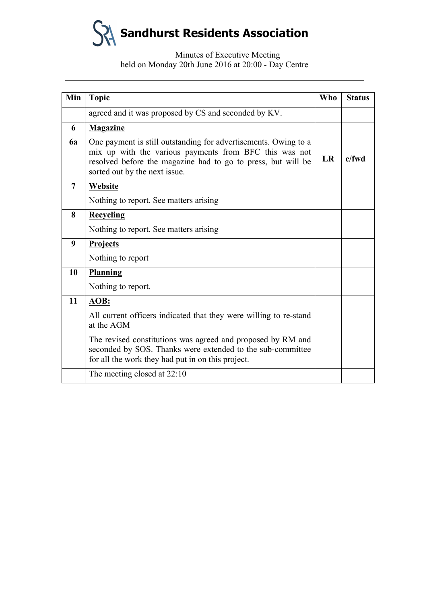# Minutes of Executive Meeting held on Monday 20th June 2016 at 20:00 - Day Centre

| Min            | <b>Topic</b>                                                                                                                                                                                                               | Who       | <b>Status</b> |
|----------------|----------------------------------------------------------------------------------------------------------------------------------------------------------------------------------------------------------------------------|-----------|---------------|
|                | agreed and it was proposed by CS and seconded by KV.                                                                                                                                                                       |           |               |
| 6              | <b>Magazine</b>                                                                                                                                                                                                            |           |               |
| <b>6a</b>      | One payment is still outstanding for advertisements. Owing to a<br>mix up with the various payments from BFC this was not<br>resolved before the magazine had to go to press, but will be<br>sorted out by the next issue. | <b>LR</b> | c/fwd         |
| $\overline{7}$ | Website                                                                                                                                                                                                                    |           |               |
|                | Nothing to report. See matters arising                                                                                                                                                                                     |           |               |
| 8              | <b>Recycling</b>                                                                                                                                                                                                           |           |               |
|                | Nothing to report. See matters arising                                                                                                                                                                                     |           |               |
| 9              | <b>Projects</b>                                                                                                                                                                                                            |           |               |
|                | Nothing to report                                                                                                                                                                                                          |           |               |
| 10             | <b>Planning</b>                                                                                                                                                                                                            |           |               |
|                | Nothing to report.                                                                                                                                                                                                         |           |               |
| 11             | AOB:                                                                                                                                                                                                                       |           |               |
|                | All current officers indicated that they were willing to re-stand<br>at the AGM                                                                                                                                            |           |               |
|                | The revised constitutions was agreed and proposed by RM and<br>seconded by SOS. Thanks were extended to the sub-committee<br>for all the work they had put in on this project.                                             |           |               |
|                | The meeting closed at 22:10                                                                                                                                                                                                |           |               |